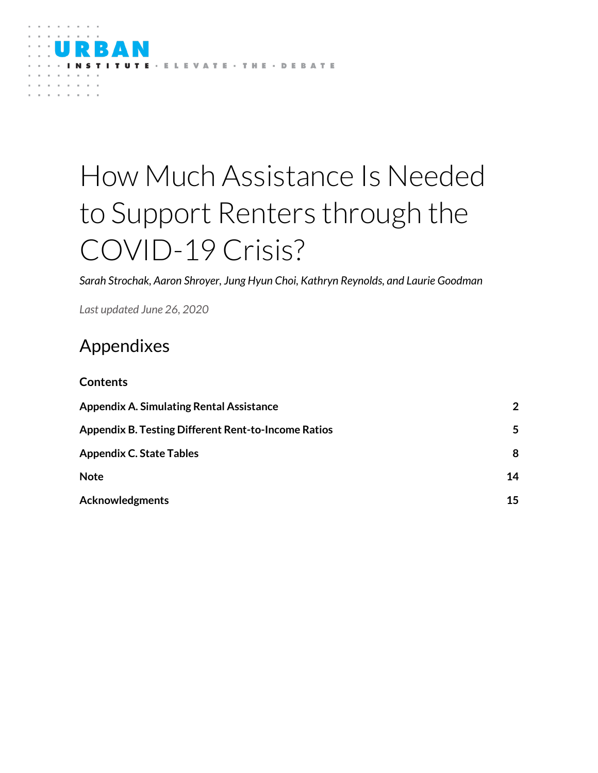

# How Much Assistance Is Needed to Support Renters through the COVID-19 Crisis?

*Sarah Strochak, Aaron Shroyer, Jung Hyun Choi, Kathryn Reynolds, and Laurie Goodman*

*Last updated June 26, 2020*

# Appendixes

| <b>Contents</b>                                            |                |
|------------------------------------------------------------|----------------|
| <b>Appendix A. Simulating Rental Assistance</b>            | $\overline{2}$ |
| <b>Appendix B. Testing Different Rent-to-Income Ratios</b> | 5              |
| <b>Appendix C. State Tables</b>                            | 8              |
| <b>Note</b>                                                | 14             |
| <b>Acknowledgments</b>                                     | 15             |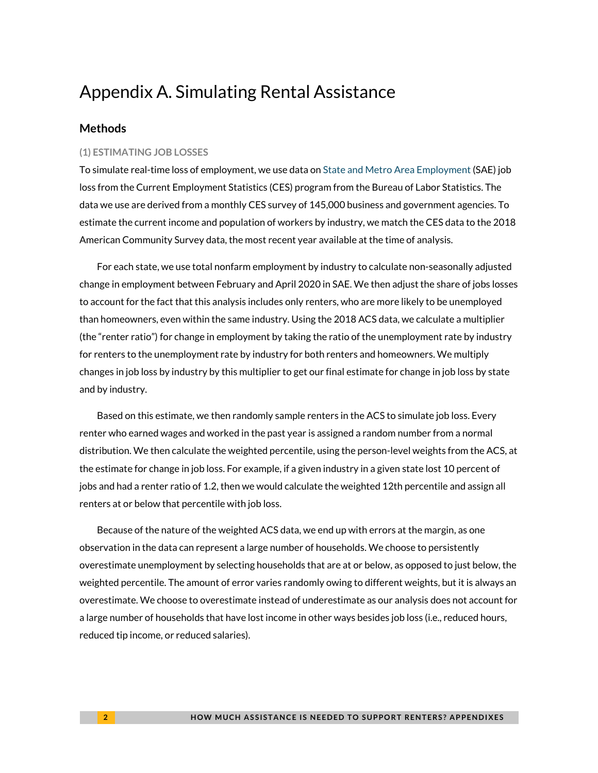# <span id="page-1-0"></span>Appendix A. Simulating Rental Assistance

## **Methods**

#### **(1) ESTIMATING JOB LOSSES**

To simulate real-time loss of employment, we use data on [State and Metro Area Employment \(](https://www.bls.gov/sae/)SAE) job loss from the Current Employment Statistics (CES) program from the Bureau of Labor Statistics. The data we use are derived from a monthly CES survey of 145,000 business and government agencies. To estimate the current income and population of workers by industry, we match the CES data to the 2018 American Community Survey data, the most recent year available at the time of analysis.

For each state, we use total nonfarm employment by industry to calculate non-seasonally adjusted change in employment between February and April 2020 in SAE. We then adjust the share of jobs losses to account for the fact that this analysis includes only renters, who are more likely to be unemployed than homeowners, even within the same industry. Using the 2018 ACS data, we calculate a multiplier (the "renter ratio") for change in employment by taking the ratio of the unemployment rate by industry for renters to the unemployment rate by industry for both renters and homeowners. We multiply changes in job loss by industry by this multiplier to get our final estimate for change in job loss by state and by industry.

Based on this estimate, we then randomly sample renters in the ACS to simulate job loss. Every renter who earned wages and worked in the past year is assigned a random number from a normal distribution. We then calculate the weighted percentile, using the person-level weights from the ACS, at the estimate for change in job loss. For example, if a given industry in a given state lost 10 percent of jobs and had a renter ratio of 1.2, then we would calculate the weighted 12th percentile and assign all renters at or below that percentile with job loss.

Because of the nature of the weighted ACS data, we end up with errors at the margin, as one observation in the data can represent a large number of households. We choose to persistently overestimate unemployment by selecting households that are at or below, as opposed to just below, the weighted percentile. The amount of error varies randomly owing to different weights, but it is always an overestimate. We choose to overestimate instead of underestimate as our analysis does not account for a large number of households that have lost income in other ways besides job loss (i.e., reduced hours, reduced tip income, or reduced salaries).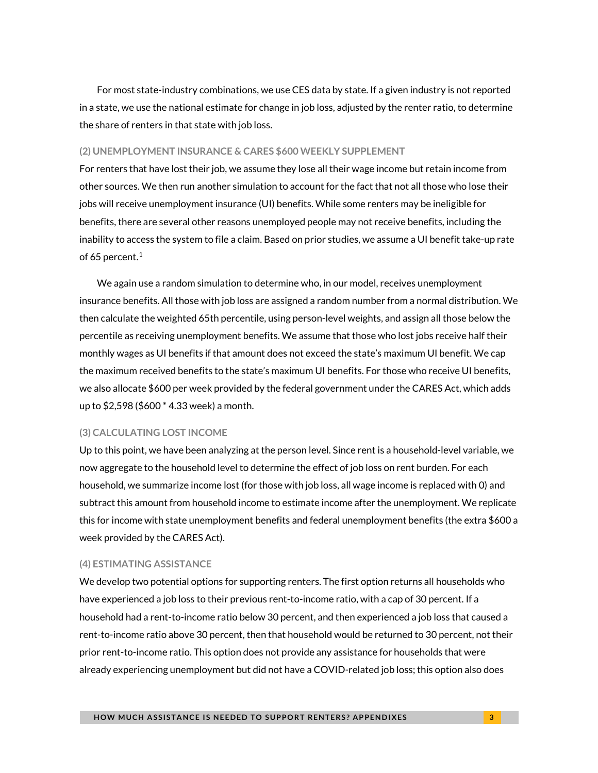For most state-industry combinations, we use CES data by state. If a given industry is not reported in a state, we use the national estimate for change in job loss, adjusted by the renter ratio, to determine the share of renters in that state with job loss.

#### **(2) UNEMPLOYMENT INSURANCE & CARES \$600 WEEKLY SUPPLEMENT**

For renters that have lost their job, we assume they lose all their wage income but retain income from other sources. We then run another simulation to account for the fact that not all those who lose their jobs will receive unemployment insurance (UI) benefits. While some renters may be ineligible for benefits, there are several other reasons unemployed people may not receive benefits, including the inability to access the system to file a claim. Based on prior studies, we assume a UI benefit take-up rate of 65 percent. $1$ 

We again use a random simulation to determine who, in our model, receives unemployment insurance benefits. All those with job loss are assigned a random number from a normal distribution. We then calculate the weighted 65th percentile, using person-level weights, and assign all those below the percentile as receiving unemployment benefits. We assume that those who lost jobs receive half their monthly wages as UI benefits if that amount does not exceed the state's maximum UI benefit. We cap the maximum received benefits to the state's maximum UI benefits. For those who receive UI benefits, we also allocate \$600 per week provided by the federal government under the CARES Act, which adds up to \$2,598 (\$600 \* 4.33 week) a month.

#### **(3) CALCULATING LOST INCOME**

Up to this point, we have been analyzing at the person level. Since rent is a household-level variable, we now aggregate to the household level to determine the effect of job loss on rent burden. For each household, we summarize income lost (for those with job loss, all wage income is replaced with 0) and subtract this amount from household income to estimate income after the unemployment. We replicate this for income with state unemployment benefits and federal unemployment benefits (the extra \$600 a week provided by the CARES Act).

#### **(4) ESTIMATING ASSISTANCE**

We develop two potential options for supporting renters. The first option returns all households who have experienced a job loss to their previous rent-to-income ratio, with a cap of 30 percent. If a household had a rent-to-income ratio below 30 percent, and then experienced a job loss that caused a rent-to-income ratio above 30 percent, then that household would be returned to 30 percent, not their prior rent-to-income ratio. This option does not provide any assistance for households that were already experiencing unemployment but did not have a COVID-related job loss; this option also does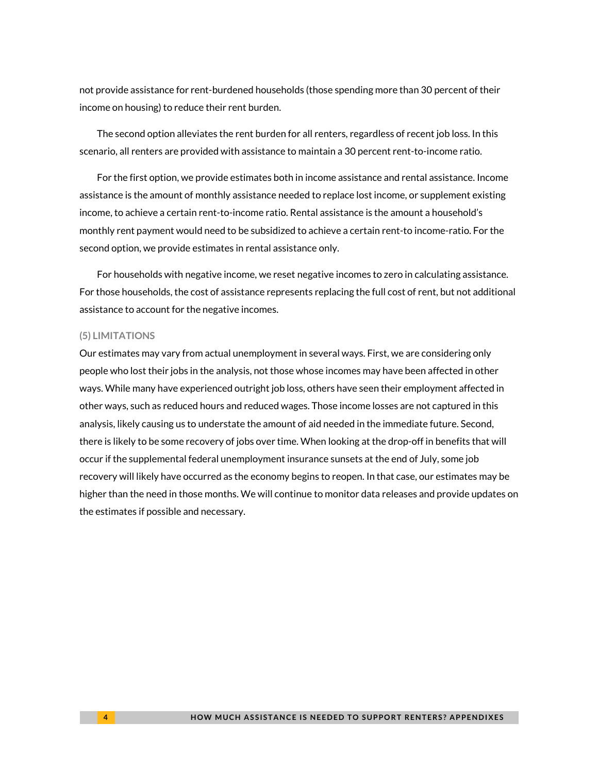not provide assistance for rent-burdened households (those spending more than 30 percent of their income on housing) to reduce their rent burden.

The second option alleviates the rent burden for all renters, regardless of recent job loss. In this scenario, all renters are provided with assistance to maintain a 30 percent rent-to-income ratio.

For the first option, we provide estimates both in income assistance and rental assistance. Income assistance is the amount of monthly assistance needed to replace lost income, or supplement existing income, to achieve a certain rent-to-income ratio. Rental assistance is the amount a household's monthly rent payment would need to be subsidized to achieve a certain rent-to income-ratio. For the second option, we provide estimates in rental assistance only.

For households with negative income, we reset negative incomes to zero in calculating assistance. For those households, the cost of assistance represents replacing the full cost of rent, but not additional assistance to account for the negative incomes.

#### **(5) LIMITATIONS**

Our estimates may vary from actual unemployment in several ways. First, we are considering only people who lost their jobs in the analysis, not those whose incomes may have been affected in other ways. While many have experienced outright job loss, others have seen their employment affected in other ways, such as reduced hours and reduced wages. Those income losses are not captured in this analysis, likely causing us to understate the amount of aid needed in the immediate future. Second, there is likely to be some recovery of jobs over time. When looking at the drop-off in benefits that will occur if the supplemental federal unemployment insurance sunsets at the end of July, some job recovery will likely have occurred as the economy begins to reopen. In that case, our estimates may be higher than the need in those months. We will continue to monitor data releases and provide updates on the estimates if possible and necessary.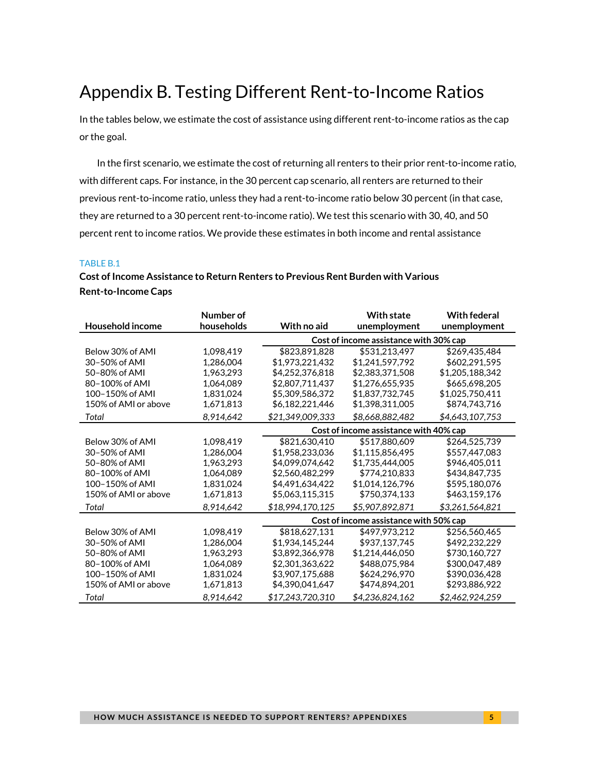# <span id="page-4-0"></span>Appendix B. Testing Different Rent-to-Income Ratios

In the tables below, we estimate the cost of assistance using different rent-to-income ratios as the cap or the goal.

In the first scenario, we estimate the cost of returning all renters to their prior rent-to-income ratio, with different caps. For instance, in the 30 percent cap scenario, all renters are returned to their previous rent-to-income ratio, unless they had a rent-to-income ratio below 30 percent (in that case, they are returned to a 30 percent rent-to-income ratio). We test this scenario with 30, 40, and 50 percent rent to income ratios. We provide these estimates in both income and rental assistance

### TABLE B.1

# **Cost of Income Assistance to Return Renters to Previous Rent Burden with Various Rent-to-Income Caps**

|                      | Number of  |                  | <b>With state</b>                      | <b>With federal</b> |
|----------------------|------------|------------------|----------------------------------------|---------------------|
| Household income     | households | With no aid      | unemployment                           | unemployment        |
|                      |            |                  | Cost of income assistance with 30% cap |                     |
| Below 30% of AMI     | 1,098,419  | \$823,891,828    | \$531,213,497                          | \$269,435,484       |
| 30-50% of AMI        | 1,286,004  | \$1,973,221,432  | \$1,241,597,792                        | \$602,291,595       |
| 50-80% of AMI        | 1,963,293  | \$4,252,376,818  | \$2,383,371,508                        | \$1,205,188,342     |
| 80-100% of AMI       | 1,064,089  | \$2,807,711,437  | \$1,276,655,935                        | \$665,698,205       |
| 100-150% of AMI      | 1,831,024  | \$5,309,586,372  | \$1,837,732,745                        | \$1,025,750,411     |
| 150% of AMI or above | 1,671,813  | \$6,182,221,446  | \$1,398,311,005                        | \$874,743,716       |
| Total                | 8,914,642  | \$21,349,009,333 | \$8,668,882,482                        | \$4,643,107,753     |
|                      |            |                  | Cost of income assistance with 40% cap |                     |
| Below 30% of AMI     | 1,098,419  | \$821,630,410    | \$517,880,609                          | \$264,525,739       |
| 30-50% of AMI        | 1,286,004  | \$1,958,233,036  | \$1,115,856,495                        | \$557,447,083       |
| 50-80% of AMI        | 1,963,293  | \$4,099,074,642  | \$1,735,444,005                        | \$946,405,011       |
| 80-100% of AMI       | 1,064,089  | \$2,560,482,299  | \$774,210,833                          | \$434,847,735       |
| 100-150% of AMI      | 1,831,024  | \$4,491,634,422  | \$1,014,126,796                        | \$595,180,076       |
| 150% of AMI or above | 1,671,813  | \$5,063,115,315  | \$750,374,133                          | \$463,159,176       |
| Total                | 8,914,642  | \$18,994,170,125 | \$5,907,892,871                        | \$3,261,564,821     |
|                      |            |                  | Cost of income assistance with 50% cap |                     |
| Below 30% of AMI     | 1,098,419  | \$818,627,131    | \$497,973,212                          | \$256,560,465       |
| 30-50% of AMI        | 1,286,004  | \$1,934,145,244  | \$937,137,745                          | \$492,232,229       |
| 50-80% of AMI        | 1,963,293  | \$3,892,366,978  | \$1,214,446,050                        | \$730,160,727       |
| 80-100% of AMI       | 1,064,089  | \$2,301,363,622  | \$488,075,984                          | \$300,047,489       |
| 100-150% of AMI      | 1,831,024  | \$3,907,175,688  | \$624,296,970                          | \$390,036,428       |
| 150% of AMI or above | 1,671,813  | \$4,390,041,647  | \$474,894,201                          | \$293,886,922       |
| Total                | 8,914,642  | \$17,243,720,310 | \$4,236,824,162                        | \$2,462,924,259     |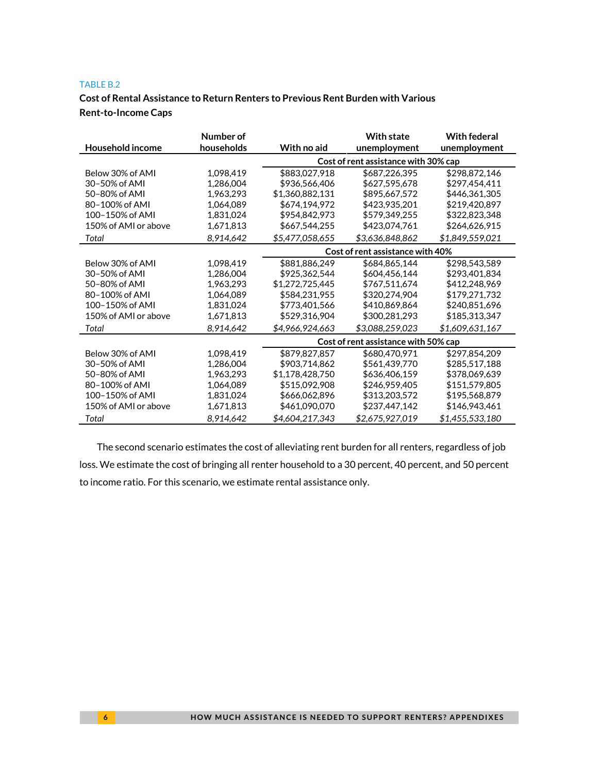#### TABLE B.2

# **Cost of Rental Assistance to Return Renters to Previous Rent Burden with Various Rent-to-Income Caps**

|                      | Number of  |                 | <b>With state</b>                    | <b>With federal</b> |
|----------------------|------------|-----------------|--------------------------------------|---------------------|
| Household income     | households | With no aid     | unemployment                         | unemployment        |
|                      |            |                 | Cost of rent assistance with 30% cap |                     |
| Below 30% of AMI     | 1,098,419  | \$883,027,918   | \$687,226,395                        | \$298,872,146       |
| 30-50% of AMI        | 1,286,004  | \$936,566,406   | \$627,595,678                        | \$297,454,411       |
| 50-80% of AMI        | 1.963.293  | \$1,360,882,131 | \$895,667,572                        | \$446,361,305       |
| 80-100% of AMI       | 1.064.089  | \$674,194,972   | \$423,935,201                        | \$219,420,897       |
| 100-150% of AMI      | 1,831,024  | \$954,842,973   | \$579,349,255                        | \$322,823,348       |
| 150% of AMI or above | 1,671,813  | \$667,544,255   | \$423,074,761                        | \$264,626,915       |
| Total                | 8,914,642  | \$5,477,058,655 | \$3,636,848,862                      | \$1,849,559,021     |
|                      |            |                 | Cost of rent assistance with 40%     |                     |
| Below 30% of AMI     | 1,098,419  | \$881,886,249   | \$684,865,144                        | \$298,543,589       |
| 30-50% of AMI        | 1,286,004  | \$925,362,544   | \$604,456,144                        | \$293,401,834       |
| 50-80% of AMI        | 1,963,293  | \$1,272,725,445 | \$767,511,674                        | \$412,248,969       |
| 80-100% of AMI       | 1.064.089  | \$584,231,955   | \$320,274,904                        | \$179,271,732       |
| 100-150% of AMI      | 1.831.024  | \$773,401,566   | \$410.869.864                        | \$240,851,696       |
| 150% of AMI or above | 1,671,813  | \$529,316,904   | \$300,281,293                        | \$185,313,347       |
| Total                | 8.914.642  | \$4,966,924,663 | \$3,088,259,023                      | \$1,609,631,167     |
|                      |            |                 | Cost of rent assistance with 50% cap |                     |
| Below 30% of AMI     | 1,098,419  | \$879,827,857   | \$680,470,971                        | \$297,854,209       |
| 30-50% of AMI        | 1,286,004  | \$903,714,862   | \$561,439,770                        | \$285,517,188       |
| 50-80% of AMI        | 1,963,293  | \$1,178,428,750 | \$636,406,159                        | \$378,069,639       |
| 80-100% of AMI       | 1,064,089  | \$515,092,908   | \$246,959,405                        | \$151,579,805       |
| 100-150% of AMI      | 1,831,024  | \$666,062,896   | \$313,203,572                        | \$195,568,879       |
| 150% of AMI or above | 1,671,813  | \$461,090,070   | \$237,447,142                        | \$146,943,461       |
| Total                | 8,914,642  | \$4,604,217,343 | \$2,675,927,019                      | \$1,455,533,180     |

The second scenario estimates the cost of alleviating rent burden for all renters, regardless of job loss. We estimate the cost of bringing all renter household to a 30 percent, 40 percent, and 50 percent to income ratio. For this scenario, we estimate rental assistance only.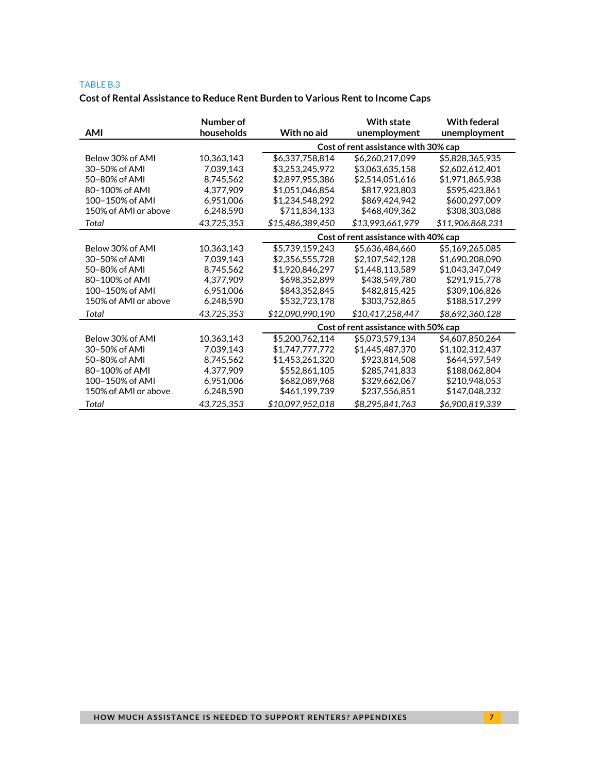#### TABLE B.3

# **Cost of Rental Assistance to Reduce Rent Burden to Various Rent to Income Caps**

| <b>AMI</b>           | Number of<br>households | With no aid      | <b>With state</b><br>unemployment    | <b>With federal</b><br>unemployment |  |
|----------------------|-------------------------|------------------|--------------------------------------|-------------------------------------|--|
|                      |                         |                  | Cost of rent assistance with 30% cap |                                     |  |
| Below 30% of AMI     | 10,363,143              | \$6,337,758,814  | \$6,260,217,099                      | \$5,828,365,935                     |  |
| 30-50% of AMI        | 7,039,143               | \$3,253,245,972  | \$3,063,635,158                      | \$2,602,612,401                     |  |
| 50-80% of AMI        | 8,745,562               | \$2,897,955,386  | \$2,514,051,616                      | \$1,971,865,938                     |  |
| 80-100% of AMI       | 4,377,909               | \$1,051,046,854  | \$817,923,803                        | \$595,423,861                       |  |
| 100-150% of AMI      | 6,951,006               | \$1,234,548,292  | \$869,424,942                        | \$600,297,009                       |  |
| 150% of AMI or above | 6,248,590               | \$711,834,133    | \$468,409,362                        | \$308,303,088                       |  |
| Total                | 43,725,353              | \$15,486,389,450 | \$13,993,661,979                     | \$11,906,868,231                    |  |
|                      |                         |                  | Cost of rent assistance with 40% cap |                                     |  |
| Below 30% of AMI     | 10,363,143              | \$5,739,159,243  | \$5,636,484,660                      | \$5,169,265,085                     |  |
| 30-50% of AMI        | 7,039,143               | \$2,356,555,728  | \$2,107,542,128                      | \$1,690,208,090                     |  |
| 50-80% of AMI        | 8,745,562               | \$1,920,846,297  | \$1,448,113,589                      | \$1,043,347,049                     |  |
| 80-100% of AMI       | 4,377,909               | \$698,352,899    | \$438,549,780                        | \$291,915,778                       |  |
| 100-150% of AMI      | 6,951,006               | \$843,352,845    | \$482,815,425                        | \$309,106,826                       |  |
| 150% of AMI or above | 6,248,590               | \$532,723,178    | \$303,752,865                        | \$188,517,299                       |  |
| Total                | 43,725,353              | \$12,090,990,190 | \$10,417,258,447                     | \$8,692,360,128                     |  |
|                      |                         |                  | Cost of rent assistance with 50% cap |                                     |  |
| Below 30% of AMI     | 10,363,143              | \$5,200,762,114  | \$5,073,579,134                      | \$4,607,850,264                     |  |
| 30-50% of AMI        | 7,039,143               | \$1,747,777,772  | \$1,445,487,370                      | \$1,102,312,437                     |  |
| 50-80% of AMI        | 8,745,562               | \$1,453,261,320  | \$923,814,508                        | \$644,597,549                       |  |
| 80-100% of AMI       | 4,377,909               | \$552,861,105    | \$285,741,833                        | \$188,062,804                       |  |
| 100-150% of AMI      | 6,951,006               | \$682,089,968    | \$329,662,067                        | \$210,948,053                       |  |
| 150% of AMI or above | 6,248,590               | \$461,199,739    | \$237,556,851                        | \$147,048,232                       |  |
| Total                | 43,725,353              | \$10,097,952,018 | \$8,295,841,763                      | \$6,900,819,339                     |  |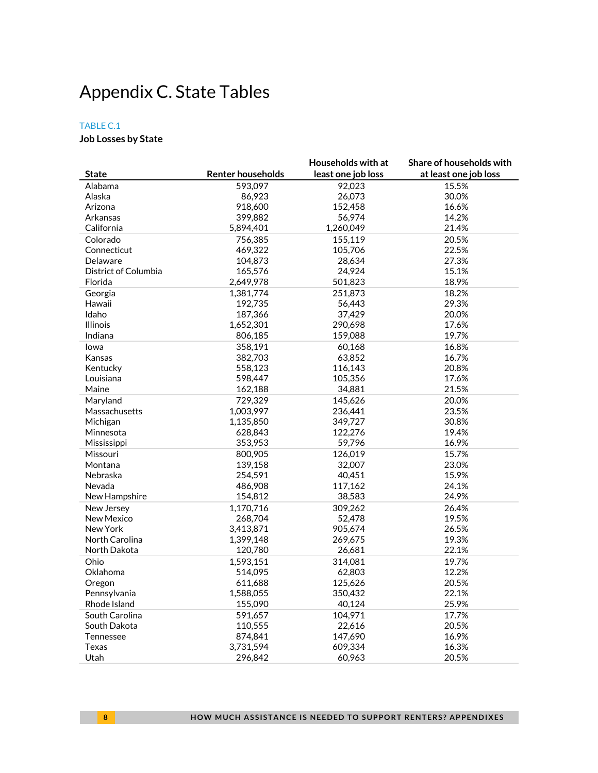# <span id="page-7-0"></span>Appendix C. State Tables

### TABLE C.1

### **Job Losses by State**

|                      |                          | Households with at | Share of households with |
|----------------------|--------------------------|--------------------|--------------------------|
| <b>State</b>         | <b>Renter households</b> | least one job loss | at least one job loss    |
| Alabama              | 593,097                  | 92,023             | 15.5%                    |
| Alaska               | 86,923                   | 26,073             | 30.0%                    |
| Arizona              | 918,600                  | 152,458            | 16.6%                    |
| Arkansas             | 399,882                  | 56,974             | 14.2%                    |
| California           | 5,894,401                | 1,260,049          | 21.4%                    |
| Colorado             | 756,385                  | 155,119            | 20.5%                    |
| Connecticut          | 469,322                  | 105,706            | 22.5%                    |
| Delaware             | 104,873                  | 28,634             | 27.3%                    |
| District of Columbia | 165,576                  | 24,924             | 15.1%                    |
| Florida              | 2,649,978                | 501,823            | 18.9%                    |
| Georgia              | 1,381,774                | 251,873            | 18.2%                    |
| Hawaii               | 192,735                  | 56,443             | 29.3%                    |
| Idaho                | 187,366                  | 37,429             | 20.0%                    |
| <b>Illinois</b>      | 1,652,301                | 290,698            | 17.6%                    |
| Indiana              | 806,185                  | 159,088            | 19.7%                    |
| lowa                 | 358,191                  | 60,168             | 16.8%                    |
| Kansas               | 382,703                  | 63,852             | 16.7%                    |
| Kentucky             | 558,123                  | 116,143            | 20.8%                    |
| Louisiana            | 598,447                  | 105,356            | 17.6%                    |
| Maine                | 162,188                  | 34,881             | 21.5%                    |
| Maryland             | 729,329                  | 145,626            | 20.0%                    |
| Massachusetts        | 1,003,997                | 236,441            | 23.5%                    |
| Michigan             | 1,135,850                | 349,727            | 30.8%                    |
| Minnesota            | 628,843                  | 122,276            | 19.4%                    |
| Mississippi          | 353,953                  | 59,796             | 16.9%                    |
| Missouri             | 800,905                  | 126,019            | 15.7%                    |
| Montana              | 139,158                  | 32,007             | 23.0%                    |
| Nebraska             | 254,591                  | 40,451             | 15.9%                    |
| Nevada               | 486,908                  | 117,162            | 24.1%                    |
| New Hampshire        | 154,812                  | 38,583             | 24.9%                    |
| New Jersey           | 1,170,716                | 309,262            | 26.4%                    |
| <b>New Mexico</b>    | 268,704                  | 52,478             | 19.5%                    |
| New York             | 3,413,871                | 905,674            | 26.5%                    |
| North Carolina       | 1,399,148                | 269,675            | 19.3%                    |
| North Dakota         | 120,780                  | 26,681             | 22.1%                    |
| Ohio                 | 1,593,151                | 314,081            | 19.7%                    |
| Oklahoma             | 514,095                  | 62,803             | 12.2%                    |
| Oregon               | 611,688                  | 125,626            | 20.5%                    |
| Pennsylvania         | 1,588,055                | 350,432            | 22.1%                    |
| Rhode Island         | 155,090                  | 40,124             | 25.9%                    |
| South Carolina       | 591,657                  | 104,971            | 17.7%                    |
| South Dakota         | 110,555                  | 22,616             | 20.5%                    |
| Tennessee            | 874,841                  | 147,690            | 16.9%                    |
| Texas                | 3,731,594                | 609,334            | 16.3%                    |
| Utah                 | 296,842                  | 60,963             | 20.5%                    |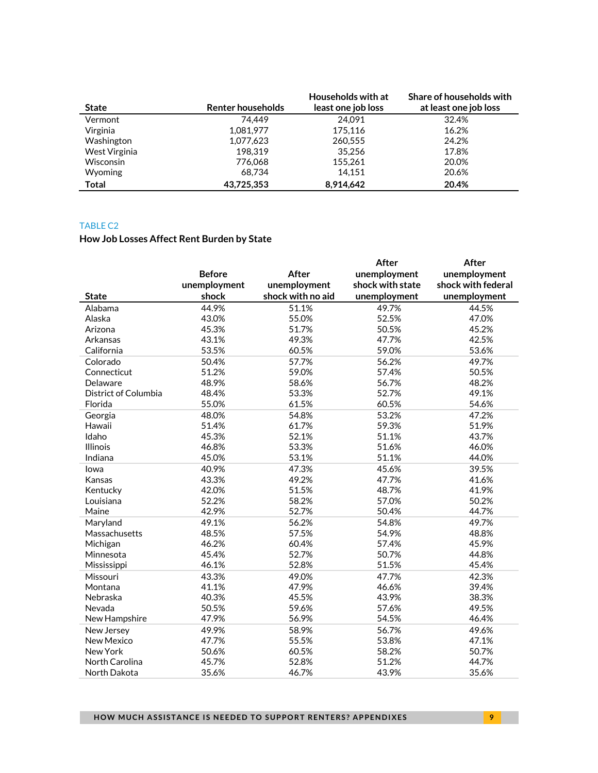|                  |                          | Households with at | Share of households with |
|------------------|--------------------------|--------------------|--------------------------|
| <b>State</b>     | <b>Renter households</b> | least one job loss | at least one job loss    |
| Vermont          | 74.449                   | 24.091             | 32.4%                    |
| Virginia         | 1,081,977                | 175.116            | 16.2%                    |
| Washington       | 1,077,623                | 260,555            | 24.2%                    |
| West Virginia    | 198.319                  | 35.256             | 17.8%                    |
| <b>Wisconsin</b> | 776.068                  | 155,261            | 20.0%                    |
| <b>Wyoming</b>   | 68.734                   | 14,151             | 20.6%                    |
| Total            | 43.725.353               | 8.914.642          | 20.4%                    |

#### TABLE C2

# **How Job Losses Affect Rent Burden by State**

|                      |               |                   | After            | After              |
|----------------------|---------------|-------------------|------------------|--------------------|
|                      | <b>Before</b> | <b>After</b>      | unemployment     | unemployment       |
|                      | unemployment  | unemployment      | shock with state | shock with federal |
| <b>State</b>         | shock         | shock with no aid | unemployment     | unemployment       |
| Alabama              | 44.9%         | 51.1%             | 49.7%            | 44.5%              |
| Alaska               | 43.0%         | 55.0%             | 52.5%            | 47.0%              |
| Arizona              | 45.3%         | 51.7%             | 50.5%            | 45.2%              |
| Arkansas             | 43.1%         | 49.3%             | 47.7%            | 42.5%              |
| California           | 53.5%         | 60.5%             | 59.0%            | 53.6%              |
| Colorado             | 50.4%         | 57.7%             | 56.2%            | 49.7%              |
| Connecticut          | 51.2%         | 59.0%             | 57.4%            | 50.5%              |
| Delaware             | 48.9%         | 58.6%             | 56.7%            | 48.2%              |
| District of Columbia | 48.4%         | 53.3%             | 52.7%            | 49.1%              |
| Florida              | 55.0%         | 61.5%             | 60.5%            | 54.6%              |
| Georgia              | 48.0%         | 54.8%             | 53.2%            | 47.2%              |
| Hawaii               | 51.4%         | 61.7%             | 59.3%            | 51.9%              |
| Idaho                | 45.3%         | 52.1%             | 51.1%            | 43.7%              |
| <b>Illinois</b>      | 46.8%         | 53.3%             | 51.6%            | 46.0%              |
| Indiana              | 45.0%         | 53.1%             | 51.1%            | 44.0%              |
| lowa                 | 40.9%         | 47.3%             | 45.6%            | 39.5%              |
| Kansas               | 43.3%         | 49.2%             | 47.7%            | 41.6%              |
| Kentucky             | 42.0%         | 51.5%             | 48.7%            | 41.9%              |
| Louisiana            | 52.2%         | 58.2%             | 57.0%            | 50.2%              |
| Maine                | 42.9%         | 52.7%             | 50.4%            | 44.7%              |
| Maryland             | 49.1%         | 56.2%             | 54.8%            | 49.7%              |
| Massachusetts        | 48.5%         | 57.5%             | 54.9%            | 48.8%              |
| Michigan             | 46.2%         | 60.4%             | 57.4%            | 45.9%              |
| Minnesota            | 45.4%         | 52.7%             | 50.7%            | 44.8%              |
| Mississippi          | 46.1%         | 52.8%             | 51.5%            | 45.4%              |
| Missouri             | 43.3%         | 49.0%             | 47.7%            | 42.3%              |
| Montana              | 41.1%         | 47.9%             | 46.6%            | 39.4%              |
| Nebraska             | 40.3%         | 45.5%             | 43.9%            | 38.3%              |
| Nevada               | 50.5%         | 59.6%             | 57.6%            | 49.5%              |
| New Hampshire        | 47.9%         | 56.9%             | 54.5%            | 46.4%              |
| New Jersey           | 49.9%         | 58.9%             | 56.7%            | 49.6%              |
| <b>New Mexico</b>    | 47.7%         | 55.5%             | 53.8%            | 47.1%              |
| New York             | 50.6%         | 60.5%             | 58.2%            | 50.7%              |
| North Carolina       | 45.7%         | 52.8%             | 51.2%            | 44.7%              |
| North Dakota         | 35.6%         | 46.7%             | 43.9%            | 35.6%              |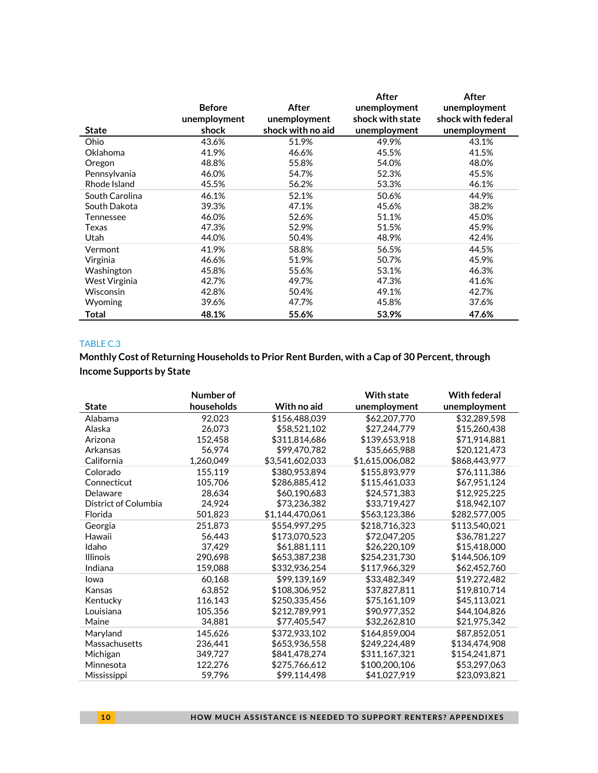| <b>State</b>   | <b>Before</b><br>unemployment<br>shock | After<br>unemployment<br>shock with no aid | After<br>unemployment<br>shock with state<br>unemployment | After<br>unemployment<br>shock with federal<br>unemployment |
|----------------|----------------------------------------|--------------------------------------------|-----------------------------------------------------------|-------------------------------------------------------------|
| Ohio           | 43.6%                                  | 51.9%                                      | 49.9%                                                     | 43.1%                                                       |
| Oklahoma       | 41.9%                                  | 46.6%                                      | 45.5%                                                     | 41.5%                                                       |
| Oregon         | 48.8%                                  | 55.8%                                      | 54.0%                                                     | 48.0%                                                       |
| Pennsylvania   | 46.0%                                  | 54.7%                                      | 52.3%                                                     | 45.5%                                                       |
| Rhode Island   | 45.5%                                  | 56.2%                                      | 53.3%                                                     | 46.1%                                                       |
| South Carolina | 46.1%                                  | 52.1%                                      | 50.6%                                                     | 44.9%                                                       |
| South Dakota   | 39.3%                                  | 47.1%                                      | 45.6%                                                     | 38.2%                                                       |
| Tennessee      | 46.0%                                  | 52.6%                                      | 51.1%                                                     | 45.0%                                                       |
| Texas          | 47.3%                                  | 52.9%                                      | 51.5%                                                     | 45.9%                                                       |
| Utah           | 44.0%                                  | 50.4%                                      | 48.9%                                                     | 42.4%                                                       |
| Vermont        | 41.9%                                  | 58.8%                                      | 56.5%                                                     | 44.5%                                                       |
| Virginia       | 46.6%                                  | 51.9%                                      | 50.7%                                                     | 45.9%                                                       |
| Washington     | 45.8%                                  | 55.6%                                      | 53.1%                                                     | 46.3%                                                       |
| West Virginia  | 42.7%                                  | 49.7%                                      | 47.3%                                                     | 41.6%                                                       |
| Wisconsin      | 42.8%                                  | 50.4%                                      | 49.1%                                                     | 42.7%                                                       |
| Wyoming        | 39.6%                                  | 47.7%                                      | 45.8%                                                     | 37.6%                                                       |
| Total          | 48.1%                                  | 55.6%                                      | 53.9%                                                     | 47.6%                                                       |

### TABLE C.3

**Monthly Cost of Returning Households to Prior Rent Burden, with a Cap of 30 Percent, through Income Supports by State**

|                      | Number of  |                 | <b>With state</b> | <b>With federal</b> |
|----------------------|------------|-----------------|-------------------|---------------------|
| <b>State</b>         | households | With no aid     | unemployment      | unemployment        |
| Alabama              | 92,023     | \$156,488,039   | \$62,207,770      | \$32,289,598        |
| Alaska               | 26,073     | \$58,521,102    | \$27,244,779      | \$15,260,438        |
| Arizona              | 152,458    | \$311,814,686   | \$139,653,918     | \$71,914,881        |
| Arkansas             | 56,974     | \$99,470,782    | \$35,665,988      | \$20,121,473        |
| California           | 1,260,049  | \$3,541,602,033 | \$1,615,006,082   | \$868,443,977       |
| Colorado             | 155,119    | \$380,953,894   | \$155,893,979     | \$76,111,386        |
| Connecticut          | 105.706    | \$286,885,412   | \$115,461,033     | \$67,951,124        |
| Delaware             | 28,634     | \$60,190,683    | \$24,571,383      | \$12,925,225        |
| District of Columbia | 24.924     | \$73,236,382    | \$33,719,427      | \$18,942,107        |
| Florida              | 501,823    | \$1,144,470,061 | \$563,123,386     | \$282,577,005       |
| Georgia              | 251,873    | \$554,997,295   | \$218,716,323     | \$113,540,021       |
| Hawaii               | 56,443     | \$173,070,523   | \$72,047,205      | \$36,781,227        |
| Idaho                | 37,429     | \$61,881,111    | \$26,220,109      | \$15,418,000        |
| <b>Illinois</b>      | 290,698    | \$653,387,238   | \$254,231,730     | \$144,506,109       |
| Indiana              | 159,088    | \$332,936,254   | \$117,966,329     | \$62,452,760        |
| Iowa                 | 60,168     | \$99,139,169    | \$33,482,349      | \$19,272,482        |
| Kansas               | 63,852     | \$108,306,952   | \$37,827,811      | \$19,810,714        |
| Kentucky             | 116,143    | \$250,335,456   | \$75,161,109      | \$45,113,021        |
| Louisiana            | 105.356    | \$212,789,991   | \$90,977,352      | \$44,104,826        |
| Maine                | 34,881     | \$77,405,547    | \$32,262,810      | \$21,975,342        |
| Maryland             | 145,626    | \$372,933,102   | \$164,859,004     | \$87.852.051        |
| Massachusetts        | 236,441    | \$653,936,558   | \$249,224,489     | \$134,474,908       |
| Michigan             | 349,727    | \$841,478,274   | \$311,167,321     | \$154,241,871       |
| Minnesota            | 122,276    | \$275,766,612   | \$100,200,106     | \$53,297,063        |
| Mississippi          | 59,796     | \$99,114,498    | \$41,027,919      | \$23,093,821        |

**10 HOW MUCH ASSISTANCE IS NEEDED TO SUPPORT RENTERS? APPENDIXES**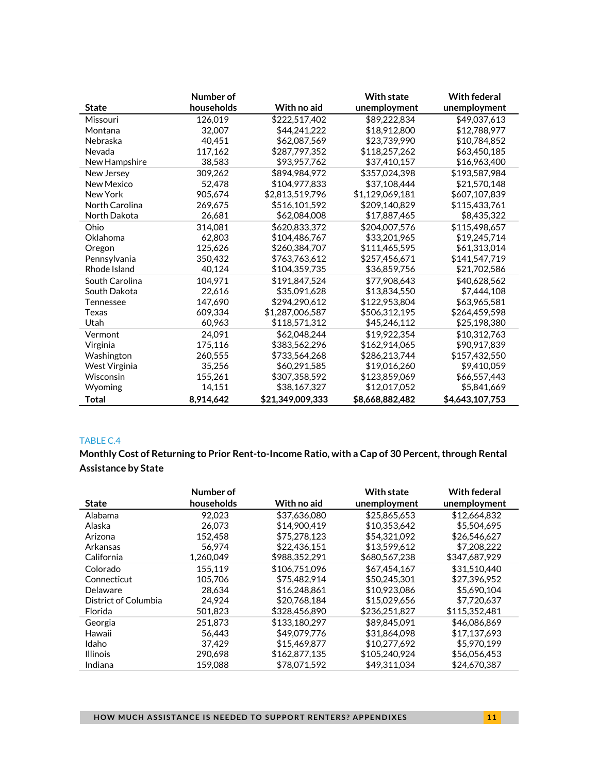|                | Number of  |                  | <b>With state</b> | <b>With federal</b> |
|----------------|------------|------------------|-------------------|---------------------|
| <b>State</b>   | households | With no aid      | unemployment      | unemployment        |
| Missouri       | 126,019    | \$222,517,402    | \$89,222,834      | \$49,037,613        |
| Montana        | 32,007     | \$44,241,222     | \$18,912,800      | \$12,788,977        |
| Nebraska       | 40.451     | \$62,087,569     | \$23.739.990      | \$10.784.852        |
| Nevada         | 117,162    | \$287,797,352    | \$118,257,262     | \$63,450,185        |
| New Hampshire  | 38,583     | \$93,957,762     | \$37,410,157      | \$16,963,400        |
| New Jersey     | 309,262    | \$894,984,972    | \$357,024,398     | \$193,587,984       |
| New Mexico     | 52.478     | \$104,977,833    | \$37,108,444      | \$21,570,148        |
| New York       | 905.674    | \$2,813,519,796  | \$1,129,069,181   | \$607,107,839       |
| North Carolina | 269,675    | \$516,101,592    | \$209,140,829     | \$115,433,761       |
| North Dakota   | 26,681     | \$62,084,008     | \$17,887,465      | \$8,435,322         |
| Ohio           | 314,081    | \$620.833.372    | \$204,007.576     | \$115,498,657       |
| Oklahoma       | 62.803     | \$104,486,767    | \$33,201.965      | \$19.245.714        |
| Oregon         | 125.626    | \$260,384,707    | \$111.465.595     | \$61,313,014        |
| Pennsylvania   | 350,432    | \$763,763,612    | \$257,456,671     | \$141,547,719       |
| Rhode Island   | 40,124     | \$104,359,735    | \$36,859,756      | \$21,702,586        |
| South Carolina | 104,971    | \$191,847,524    | \$77,908,643      | \$40,628,562        |
| South Dakota   | 22.616     | \$35,091,628     | \$13,834,550      | \$7,444,108         |
| Tennessee      | 147.690    | \$294.290.612    | \$122,953,804     | \$63,965.581        |
| Texas          | 609.334    | \$1,287,006,587  | \$506,312,195     | \$264,459,598       |
| Utah           | 60,963     | \$118,571,312    | \$45,246,112      | \$25,198,380        |
| Vermont        | 24.091     | \$62,048,244     | \$19,922,354      | \$10,312,763        |
| Virginia       | 175,116    | \$383,562,296    | \$162,914,065     | \$90,917,839        |
| Washington     | 260,555    | \$733,564,268    | \$286,213,744     | \$157,432,550       |
| West Virginia  | 35,256     | \$60,291,585     | \$19,016,260      | \$9,410,059         |
| Wisconsin      | 155,261    | \$307,358,592    | \$123,859,069     | \$66,557,443        |
| Wyoming        | 14.151     | \$38,167,327     | \$12.017.052      | \$5,841,669         |
| Total          | 8,914,642  | \$21.349.009.333 | \$8,668,882,482   | \$4,643,107,753     |

### TABLE C.4

**Monthly Cost of Returning to Prior Rent-to-Income Ratio, with a Cap of 30 Percent, through Rental Assistance by State**

|                      | Number of  |               | <b>With state</b> | <b>With federal</b> |
|----------------------|------------|---------------|-------------------|---------------------|
| <b>State</b>         | households | With no aid   | unemployment      | unemployment        |
| Alabama              | 92.023     | \$37.636,080  | \$25,865,653      | \$12,664,832        |
| Alaska               | 26.073     | \$14,900,419  | \$10,353,642      | \$5,504,695         |
| Arizona              | 152.458    | \$75,278,123  | \$54,321,092      | \$26,546,627        |
| Arkansas             | 56.974     | \$22,436.151  | \$13.599.612      | \$7,208,222         |
| California           | 1,260,049  | \$988,352,291 | \$680,567,238     | \$347,687,929       |
| Colorado             | 155.119    | \$106.751.096 | \$67,454,167      | \$31.510.440        |
| Connecticut          | 105.706    | \$75,482,914  | \$50,245,301      | \$27.396.952        |
| Delaware             | 28.634     | \$16,248,861  | \$10,923,086      | \$5,690,104         |
| District of Columbia | 24.924     | \$20,768,184  | \$15,029,656      | \$7,720,637         |
| Florida              | 501,823    | \$328,456,890 | \$236,251,827     | \$115,352,481       |
| Georgia              | 251.873    | \$133,180,297 | \$89,845,091      | \$46,086,869        |
| Hawaii               | 56.443     | \$49,079,776  | \$31.864.098      | \$17.137.693        |
| Idaho                | 37.429     | \$15,469,877  | \$10,277,692      | \$5.970.199         |
| <b>Illinois</b>      | 290.698    | \$162,877,135 | \$105,240,924     | \$56,056,453        |
| Indiana              | 159.088    | \$78,071,592  | \$49.311.034      | \$24.670.387        |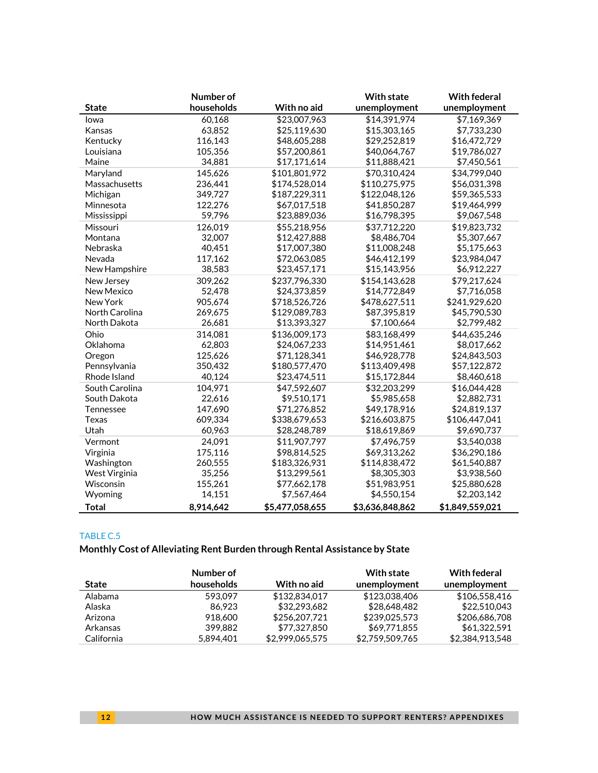|                   | Number of  |                 | <b>With state</b> | <b>With federal</b> |
|-------------------|------------|-----------------|-------------------|---------------------|
| <b>State</b>      | households | With no aid     | unemployment      | unemployment        |
| lowa              | 60,168     | \$23,007,963    | \$14,391,974      | \$7,169,369         |
| Kansas            | 63,852     | \$25,119,630    | \$15,303,165      | \$7,733,230         |
| Kentucky          | 116,143    | \$48,605,288    | \$29,252,819      | \$16,472,729        |
| Louisiana         | 105,356    | \$57,200,861    | \$40,064,767      | \$19,786,027        |
| Maine             | 34,881     | \$17,171,614    | \$11,888,421      | \$7,450,561         |
| Maryland          | 145,626    | \$101,801,972   | \$70,310,424      | \$34,799,040        |
| Massachusetts     | 236,441    | \$174,528,014   | \$110,275,975     | \$56,031,398        |
| Michigan          | 349,727    | \$187,229,311   | \$122,048,126     | \$59,365,533        |
| Minnesota         | 122,276    | \$67,017,518    | \$41,850,287      | \$19,464,999        |
| Mississippi       | 59,796     | \$23,889,036    | \$16,798,395      | \$9,067,548         |
| Missouri          | 126,019    | \$55,218,956    | \$37,712,220      | \$19,823,732        |
| Montana           | 32,007     | \$12,427,888    | \$8,486,704       | \$5,307,667         |
| Nebraska          | 40,451     | \$17,007,380    | \$11,008,248      | \$5,175,663         |
| Nevada            | 117,162    | \$72,063,085    | \$46,412,199      | \$23,984,047        |
| New Hampshire     | 38,583     | \$23,457,171    | \$15,143,956      | \$6,912,227         |
| New Jersey        | 309,262    | \$237,796,330   | \$154,143,628     | \$79,217,624        |
| <b>New Mexico</b> | 52,478     | \$24,373,859    | \$14,772,849      | \$7,716,058         |
| New York          | 905,674    | \$718,526,726   | \$478,627,511     | \$241,929,620       |
| North Carolina    | 269,675    | \$129,089,783   | \$87,395,819      | \$45,790,530        |
| North Dakota      | 26,681     | \$13,393,327    | \$7,100,664       | \$2,799,482         |
| Ohio              | 314,081    | \$136,009,173   | \$83,168,499      | \$44,635,246        |
| Oklahoma          | 62,803     | \$24,067,233    | \$14,951,461      | \$8,017,662         |
| Oregon            | 125,626    | \$71,128,341    | \$46,928,778      | \$24,843,503        |
| Pennsylvania      | 350,432    | \$180,577,470   | \$113,409,498     | \$57,122,872        |
| Rhode Island      | 40,124     | \$23,474,511    | \$15,172,844      | \$8,460,618         |
| South Carolina    | 104,971    | \$47,592,607    | \$32,203,299      | \$16,044,428        |
| South Dakota      | 22,616     | \$9,510,171     | \$5,985,658       | \$2,882,731         |
| Tennessee         | 147,690    | \$71,276,852    | \$49,178,916      | \$24,819,137        |
| Texas             | 609,334    | \$338,679,653   | \$216,603,875     | \$106,447,041       |
| Utah              | 60,963     | \$28,248,789    | \$18,619,869      | \$9,690,737         |
| Vermont           | 24,091     | \$11,907,797    | \$7,496,759       | \$3,540,038         |
| Virginia          | 175,116    | \$98,814,525    | \$69,313,262      | \$36,290,186        |
| Washington        | 260,555    | \$183,326,931   | \$114,838,472     | \$61,540,887        |
| West Virginia     | 35,256     | \$13,299,561    | \$8,305,303       | \$3,938,560         |
| Wisconsin         | 155,261    | \$77,662,178    | \$51,983,951      | \$25,880,628        |
| Wyoming           | 14,151     | \$7,567,464     | \$4,550,154       | \$2,203,142         |
| <b>Total</b>      | 8,914,642  | \$5,477,058,655 | \$3,636,848,862   | \$1,849,559,021     |

### TABLE C.5

# **Monthly Cost of Alleviating Rent Burden through Rental Assistance by State**

|            | Number of  |                 | <b>With state</b> | With federal    |
|------------|------------|-----------------|-------------------|-----------------|
| State      | households | With no aid     | unemployment      | unemployment    |
| Alabama    | 593.097    | \$132,834,017   | \$123,038,406     | \$106.558.416   |
| Alaska     | 86.923     | \$32,293,682    | \$28,648,482      | \$22,510,043    |
| Arizona    | 918.600    | \$256,207,721   | \$239,025,573     | \$206,686,708   |
| Arkansas   | 399.882    | \$77,327,850    | \$69,771,855      | \$61.322.591    |
| California | 5.894.401  | \$2,999,065,575 | \$2,759,509,765   | \$2.384.913.548 |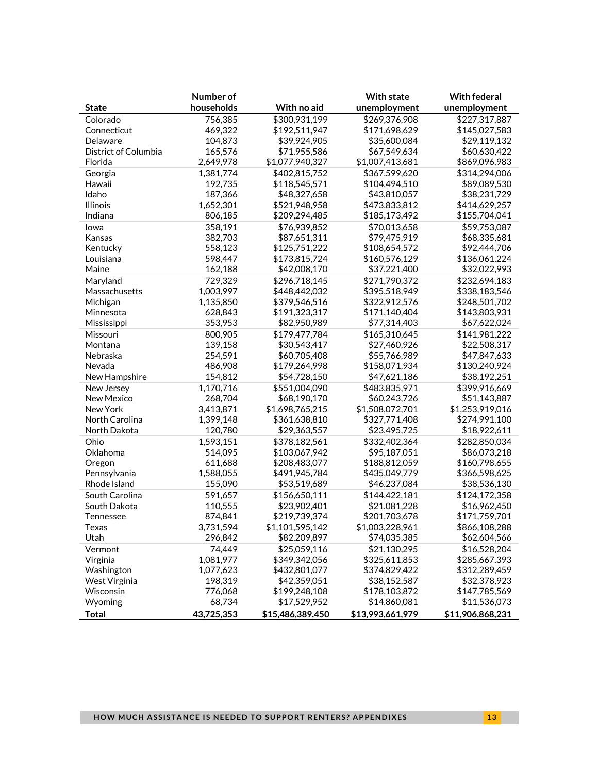|                      | Number of  |                  | <b>With state</b> | <b>With federal</b> |
|----------------------|------------|------------------|-------------------|---------------------|
| <b>State</b>         | households | With no aid      | unemployment      | unemployment        |
| Colorado             | 756,385    | \$300,931,199    | \$269,376,908     | \$227,317,887       |
| Connecticut          | 469,322    | \$192,511,947    | \$171,698,629     | \$145,027,583       |
| Delaware             | 104,873    | \$39,924,905     | \$35,600,084      | \$29,119,132        |
| District of Columbia | 165,576    | \$71,955,586     | \$67,549,634      | \$60,630,422        |
| Florida              | 2,649,978  | \$1,077,940,327  | \$1,007,413,681   | \$869,096,983       |
| Georgia              | 1,381,774  | \$402,815,752    | \$367,599,620     | \$314,294,006       |
| Hawaii               | 192,735    | \$118,545,571    | \$104,494,510     | \$89,089,530        |
| Idaho                | 187,366    | \$48,327,658     | \$43,810,057      | \$38,231,729        |
| Illinois             | 1,652,301  | \$521,948,958    | \$473,833,812     | \$414,629,257       |
| Indiana              | 806,185    | \$209,294,485    | \$185,173,492     | \$155,704,041       |
| lowa                 | 358,191    | \$76,939,852     | \$70,013,658      | \$59,753,087        |
| Kansas               | 382,703    | \$87,651,311     | \$79,475,919      | \$68,335,681        |
| Kentucky             | 558,123    | \$125,751,222    | \$108,654,572     | \$92,444,706        |
| Louisiana            | 598,447    | \$173,815,724    | \$160,576,129     | \$136,061,224       |
| Maine                | 162,188    | \$42,008,170     | \$37,221,400      | \$32,022,993        |
| Maryland             | 729,329    | \$296,718,145    | \$271,790,372     | \$232,694,183       |
| Massachusetts        | 1,003,997  | \$448,442,032    | \$395,518,949     | \$338,183,546       |
| Michigan             | 1,135,850  | \$379,546,516    | \$322,912,576     | \$248,501,702       |
| Minnesota            | 628,843    | \$191,323,317    | \$171,140,404     | \$143,803,931       |
| Mississippi          | 353,953    | \$82,950,989     | \$77,314,403      | \$67,622,024        |
| Missouri             | 800,905    | \$179,477,784    | \$165,310,645     | \$141,981,222       |
| Montana              | 139,158    | \$30,543,417     | \$27,460,926      | \$22,508,317        |
| Nebraska             | 254,591    | \$60,705,408     | \$55,766,989      | \$47,847,633        |
| Nevada               | 486,908    | \$179,264,998    | \$158,071,934     | \$130,240,924       |
| New Hampshire        | 154,812    | \$54,728,150     | \$47,621,186      | \$38,192,251        |
| New Jersey           | 1,170,716  | \$551,004,090    | \$483,835,971     | \$399,916,669       |
| New Mexico           | 268,704    | \$68,190,170     | \$60,243,726      | \$51,143,887        |
| New York             | 3,413,871  | \$1,698,765,215  | \$1,508,072,701   | \$1,253,919,016     |
| North Carolina       | 1,399,148  | \$361,638,810    | \$327,771,408     | \$274,991,100       |
| North Dakota         | 120,780    | \$29,363,557     | \$23,495,725      | \$18,922,611        |
| Ohio                 | 1,593,151  | \$378,182,561    | \$332,402,364     | \$282,850,034       |
| Oklahoma             | 514,095    | \$103,067,942    | \$95,187,051      | \$86,073,218        |
| Oregon               | 611,688    | \$208,483,077    | \$188,812,059     | \$160,798,655       |
| Pennsylvania         | 1,588,055  | \$491,945,784    | \$435,049,779     | \$366,598,625       |
| Rhode Island         | 155,090    | \$53,519,689     | \$46,237,084      | \$38,536,130        |
| South Carolina       | 591,657    | \$156,650,111    | \$144,422,181     | \$124,172,358       |
| South Dakota         | 110,555    | \$23,902,401     | \$21,081,228      | \$16,962,450        |
| Tennessee            | 874,841    | \$219,739,374    | \$201,703,678     | \$171,759,701       |
| Texas                | 3,731,594  | \$1,101,595,142  | \$1,003,228,961   | \$866,108,288       |
| Utah                 | 296,842    | \$82,209,897     | \$74,035,385      | \$62,604,566        |
| Vermont              | 74,449     | \$25,059,116     | \$21,130,295      | \$16,528,204        |
| Virginia             | 1,081,977  | \$349,342,056    | \$325,611,853     | \$285,667,393       |
| Washington           | 1,077,623  | \$432,801,077    | \$374,829,422     | \$312,289,459       |
| West Virginia        | 198,319    | \$42,359,051     | \$38,152,587      | \$32,378,923        |
| Wisconsin            | 776,068    | \$199,248,108    | \$178,103,872     | \$147,785,569       |
| Wyoming              | 68,734     | \$17,529,952     | \$14,860,081      | \$11,536,073        |
| <b>Total</b>         | 43,725,353 | \$15,486,389,450 | \$13,993,661,979  | \$11,906,868,231    |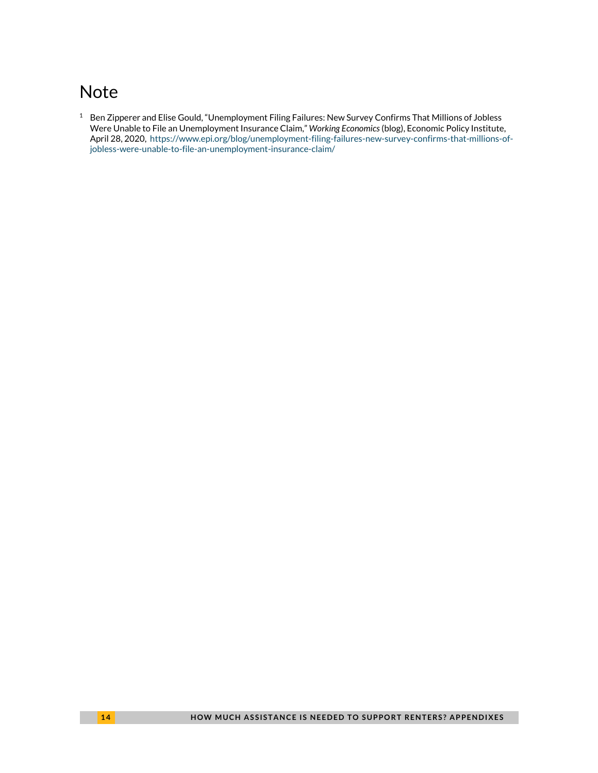# <span id="page-13-0"></span>**Note**

<span id="page-13-1"></span><sup>1</sup> Ben Zipperer and Elise Gould, "Unemployment Filing Failures: New Survey Confirms That Millions of Jobless Were Unable to File an Unemployment Insurance Claim," *Working Economics* (blog), Economic Policy Institute, April 28, 2020, [https://www.epi.org/blog/unemployment-filing-failures-new-survey-confirms-that-millions-of](https://www.epi.org/blog/unemployment-filing-failures-new-survey-confirms-that-millions-of-jobless-were-unable-to-file-an-unemployment-insurance-claim/)[jobless-were-unable-to-file-an-unemployment-insurance-claim/](https://www.epi.org/blog/unemployment-filing-failures-new-survey-confirms-that-millions-of-jobless-were-unable-to-file-an-unemployment-insurance-claim/)